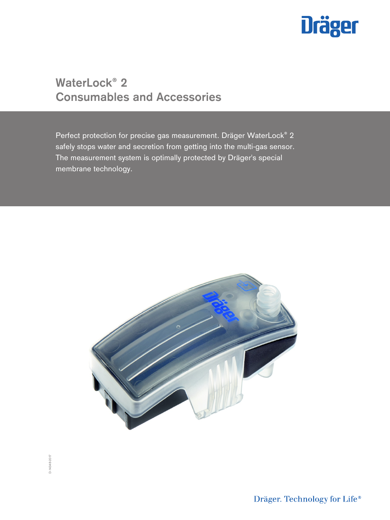

# **WaterLock® 2 Consumables and Accessories**

Perfect protection for precise gas measurement. Dräger WaterLock® 2 safely stops water and secretion from getting into the multi-gas sensor. The measurement system is optimally protected by Dräger's special membrane technology.



Dräger. Technology for Life®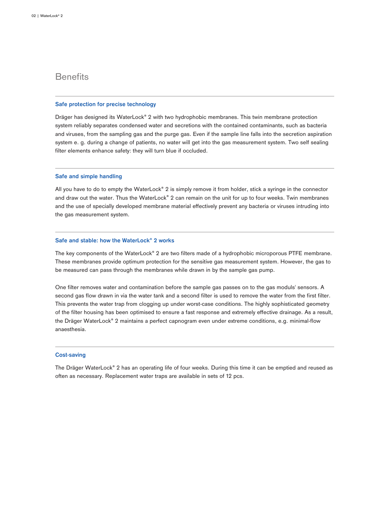# **Benefits**

#### **Safe protection for precise technology**

Dräger has designed its WaterLock® 2 with two hydrophobic membranes. This twin membrane protection system reliably separates condensed water and secretions with the contained contaminants, such as bacteria and viruses, from the sampling gas and the purge gas. Even if the sample line falls into the secretion aspiration system e. g. during a change of patients, no water will get into the gas measurement system. Two self sealing filter elements enhance safety: they will turn blue if occluded.

### **Safe and simple handling**

All you have to do to empty the WaterLock® 2 is simply remove it from holder, stick a syringe in the connector and draw out the water. Thus the WaterLock® 2 can remain on the unit for up to four weeks. Twin membranes and the use of specially developed membrane material effectively prevent any bacteria or viruses intruding into the gas measurement system.

### **Safe and stable: how the WaterLock® 2 works**

The key components of the WaterLock® 2 are two filters made of a hydrophobic microporous PTFE membrane. These membranes provide optimum protection for the sensitive gas measurement system. However, the gas to be measured can pass through the membranes while drawn in by the sample gas pump.

One filter removes water and contamination before the sample gas passes on to the gas moduls' sensors. A second gas flow drawn in via the water tank and a second filter is used to remove the water from the first filter. This prevents the water trap from clogging up under worst-case conditions. The highly sophisticated geometry of the filter housing has been optimised to ensure a fast response and extremely effective drainage. As a result, the Dräger WaterLock® 2 maintains a perfect capnogram even under extreme conditions, e.g. minimal-flow anaesthesia.

#### **Cost-saving**

The Dräger WaterLock® 2 has an operating life of four weeks. During this time it can be emptied and reused as often as necessary. Replacement water traps are available in sets of 12 pcs.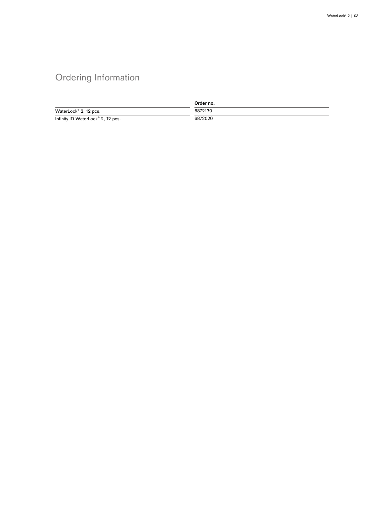# Ordering Information

|                                               | Order no. |
|-----------------------------------------------|-----------|
| WaterLock <sup>®</sup> 2, 12 pcs.             | 6872130   |
| Infinity ID WaterLock <sup>®</sup> 2, 12 pcs. | 6872020   |